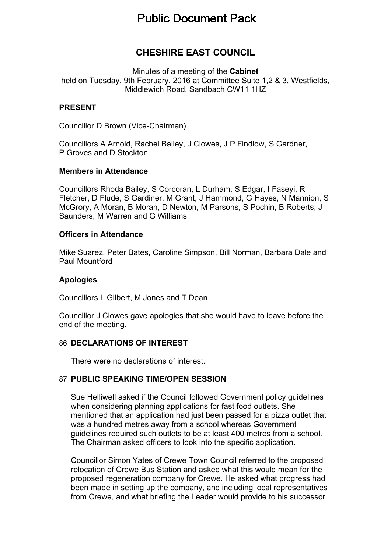# **Public Document Pack**

## **CHESHIRE EAST COUNCIL**

Minutes of a meeting of the **Cabinet** held on Tuesday, 9th February, 2016 at Committee Suite 1,2 & 3, Westfields, Middlewich Road, Sandbach CW11 1HZ

#### **PRESENT**

Councillor D Brown (Vice-Chairman)

Councillors A Arnold, Rachel Bailey, J Clowes, J P Findlow, S Gardner, P Groves and D Stockton

#### **Members in Attendance**

Councillors Rhoda Bailey, S Corcoran, L Durham, S Edgar, I Faseyi, R Fletcher, D Flude, S Gardiner, M Grant, J Hammond, G Hayes, N Mannion, S McGrory, A Moran, B Moran, D Newton, M Parsons, S Pochin, B Roberts, J Saunders, M Warren and G Williams

#### **Officers in Attendance**

Mike Suarez, Peter Bates, Caroline Simpson, Bill Norman, Barbara Dale and Paul Mountford

#### **Apologies**

Councillors L Gilbert, M Jones and T Dean

Councillor J Clowes gave apologies that she would have to leave before the end of the meeting.

#### 86 **DECLARATIONS OF INTEREST**

There were no declarations of interest.

#### 87 **PUBLIC SPEAKING TIME/OPEN SESSION**

Sue Helliwell asked if the Council followed Government policy guidelines when considering planning applications for fast food outlets. She mentioned that an application had just been passed for a pizza outlet that was a hundred metres away from a school whereas Government guidelines required such outlets to be at least 400 metres from a school. The Chairman asked officers to look into the specific application.

Councillor Simon Yates of Crewe Town Council referred to the proposed relocation of Crewe Bus Station and asked what this would mean for the proposed regeneration company for Crewe. He asked what progress had been made in setting up the company, and including local representatives from Crewe, and what briefing the Leader would provide to his successor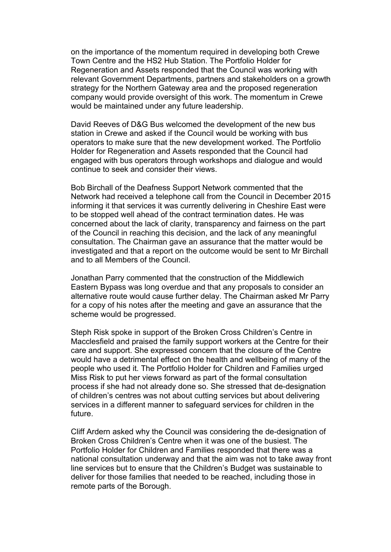on the importance of the momentum required in developing both Crewe Town Centre and the HS2 Hub Station. The Portfolio Holder for Regeneration and Assets responded that the Council was working with relevant Government Departments, partners and stakeholders on a growth strategy for the Northern Gateway area and the proposed regeneration company would provide oversight of this work. The momentum in Crewe would be maintained under any future leadership.

David Reeves of D&G Bus welcomed the development of the new bus station in Crewe and asked if the Council would be working with bus operators to make sure that the new development worked. The Portfolio Holder for Regeneration and Assets responded that the Council had engaged with bus operators through workshops and dialogue and would continue to seek and consider their views.

Bob Birchall of the Deafness Support Network commented that the Network had received a telephone call from the Council in December 2015 informing it that services it was currently delivering in Cheshire East were to be stopped well ahead of the contract termination dates. He was concerned about the lack of clarity, transparency and fairness on the part of the Council in reaching this decision, and the lack of any meaningful consultation. The Chairman gave an assurance that the matter would be investigated and that a report on the outcome would be sent to Mr Birchall and to all Members of the Council.

Jonathan Parry commented that the construction of the Middlewich Eastern Bypass was long overdue and that any proposals to consider an alternative route would cause further delay. The Chairman asked Mr Parry for a copy of his notes after the meeting and gave an assurance that the scheme would be progressed.

Steph Risk spoke in support of the Broken Cross Children's Centre in Macclesfield and praised the family support workers at the Centre for their care and support. She expressed concern that the closure of the Centre would have a detrimental effect on the health and wellbeing of many of the people who used it. The Portfolio Holder for Children and Families urged Miss Risk to put her views forward as part of the formal consultation process if she had not already done so. She stressed that de-designation of children's centres was not about cutting services but about delivering services in a different manner to safeguard services for children in the future.

Cliff Ardern asked why the Council was considering the de-designation of Broken Cross Children's Centre when it was one of the busiest. The Portfolio Holder for Children and Families responded that there was a national consultation underway and that the aim was not to take away front line services but to ensure that the Children's Budget was sustainable to deliver for those families that needed to be reached, including those in remote parts of the Borough.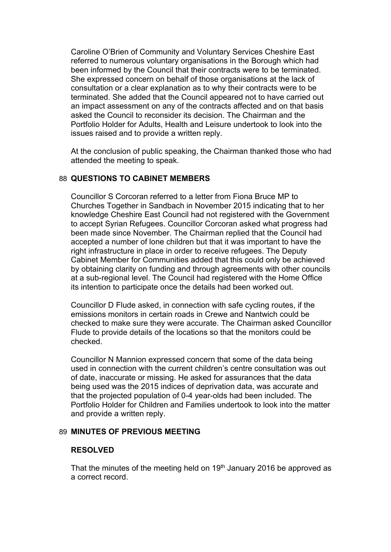Caroline O'Brien of Community and Voluntary Services Cheshire East referred to numerous voluntary organisations in the Borough which had been informed by the Council that their contracts were to be terminated. She expressed concern on behalf of those organisations at the lack of consultation or a clear explanation as to why their contracts were to be terminated. She added that the Council appeared not to have carried out an impact assessment on any of the contracts affected and on that basis asked the Council to reconsider its decision. The Chairman and the Portfolio Holder for Adults, Health and Leisure undertook to look into the issues raised and to provide a written reply.

At the conclusion of public speaking, the Chairman thanked those who had attended the meeting to speak.

#### 88 **QUESTIONS TO CABINET MEMBERS**

Councillor S Corcoran referred to a letter from Fiona Bruce MP to Churches Together in Sandbach in November 2015 indicating that to her knowledge Cheshire East Council had not registered with the Government to accept Syrian Refugees. Councillor Corcoran asked what progress had been made since November. The Chairman replied that the Council had accepted a number of lone children but that it was important to have the right infrastructure in place in order to receive refugees. The Deputy Cabinet Member for Communities added that this could only be achieved by obtaining clarity on funding and through agreements with other councils at a sub-regional level. The Council had registered with the Home Office its intention to participate once the details had been worked out.

Councillor D Flude asked, in connection with safe cycling routes, if the emissions monitors in certain roads in Crewe and Nantwich could be checked to make sure they were accurate. The Chairman asked Councillor Flude to provide details of the locations so that the monitors could be checked.

Councillor N Mannion expressed concern that some of the data being used in connection with the current children's centre consultation was out of date, inaccurate or missing. He asked for assurances that the data being used was the 2015 indices of deprivation data, was accurate and that the projected population of 0-4 year-olds had been included. The Portfolio Holder for Children and Families undertook to look into the matter and provide a written reply.

#### 89 **MINUTES OF PREVIOUS MEETING**

#### **RESOLVED**

That the minutes of the meeting held on 19<sup>th</sup> January 2016 be approved as a correct record.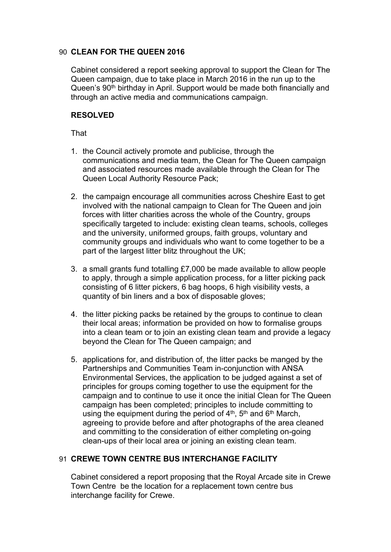#### 90 **CLEAN FOR THE QUEEN 2016**

Cabinet considered a report seeking approval to support the Clean for The Queen campaign, due to take place in March 2016 in the run up to the Queen's 90<sup>th</sup> birthday in April. Support would be made both financially and through an active media and communications campaign.

#### **RESOLVED**

That

- 1. the Council actively promote and publicise, through the communications and media team, the Clean for The Queen campaign and associated resources made available through the Clean for The Queen Local Authority Resource Pack;
- 2. the campaign encourage all communities across Cheshire East to get involved with the national campaign to Clean for The Queen and join forces with litter charities across the whole of the Country, groups specifically targeted to include: existing clean teams, schools, colleges and the university, uniformed groups, faith groups, voluntary and community groups and individuals who want to come together to be a part of the largest litter blitz throughout the UK;
- 3. a small grants fund totalling £7,000 be made available to allow people to apply, through a simple application process, for a litter picking pack consisting of 6 litter pickers, 6 bag hoops, 6 high visibility vests, a quantity of bin liners and a box of disposable gloves;
- 4. the litter picking packs be retained by the groups to continue to clean their local areas; information be provided on how to formalise groups into a clean team or to join an existing clean team and provide a legacy beyond the Clean for The Queen campaign; and
- 5. applications for, and distribution of, the litter packs be manged by the Partnerships and Communities Team in-conjunction with ANSA Environmental Services, the application to be judged against a set of principles for groups coming together to use the equipment for the campaign and to continue to use it once the initial Clean for The Queen campaign has been completed; principles to include committing to using the equipment during the period of  $4<sup>th</sup>$ , 5<sup>th</sup> and 6<sup>th</sup> March, agreeing to provide before and after photographs of the area cleaned and committing to the consideration of either completing on-going clean-ups of their local area or joining an existing clean team.

## 91 **CREWE TOWN CENTRE BUS INTERCHANGE FACILITY**

Cabinet considered a report proposing that the Royal Arcade site in Crewe Town Centre be the location for a replacement town centre bus interchange facility for Crewe.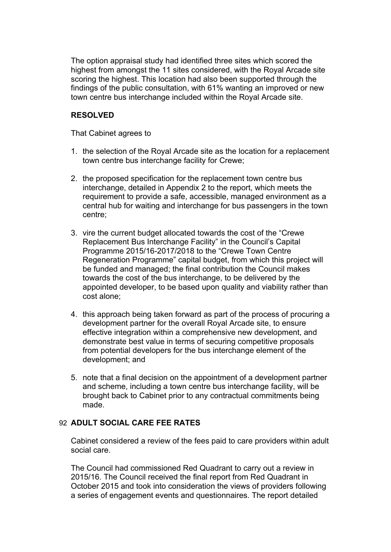The option appraisal study had identified three sites which scored the highest from amongst the 11 sites considered, with the Royal Arcade site scoring the highest. This location had also been supported through the findings of the public consultation, with 61% wanting an improved or new town centre bus interchange included within the Royal Arcade site.

#### **RESOLVED**

That Cabinet agrees to

- 1. the selection of the Royal Arcade site as the location for a replacement town centre bus interchange facility for Crewe;
- 2. the proposed specification for the replacement town centre bus interchange, detailed in Appendix 2 to the report, which meets the requirement to provide a safe, accessible, managed environment as a central hub for waiting and interchange for bus passengers in the town centre;
- 3. vire the current budget allocated towards the cost of the "Crewe Replacement Bus Interchange Facility" in the Council's Capital Programme 2015/16-2017/2018 to the "Crewe Town Centre Regeneration Programme" capital budget, from which this project will be funded and managed; the final contribution the Council makes towards the cost of the bus interchange, to be delivered by the appointed developer, to be based upon quality and viability rather than cost alone;
- 4. this approach being taken forward as part of the process of procuring a development partner for the overall Royal Arcade site, to ensure effective integration within a comprehensive new development, and demonstrate best value in terms of securing competitive proposals from potential developers for the bus interchange element of the development; and
- 5. note that a final decision on the appointment of a development partner and scheme, including a town centre bus interchange facility, will be brought back to Cabinet prior to any contractual commitments being made.

## 92 **ADULT SOCIAL CARE FEE RATES**

Cabinet considered a review of the fees paid to care providers within adult social care.

The Council had commissioned Red Quadrant to carry out a review in 2015/16. The Council received the final report from Red Quadrant in October 2015 and took into consideration the views of providers following a series of engagement events and questionnaires. The report detailed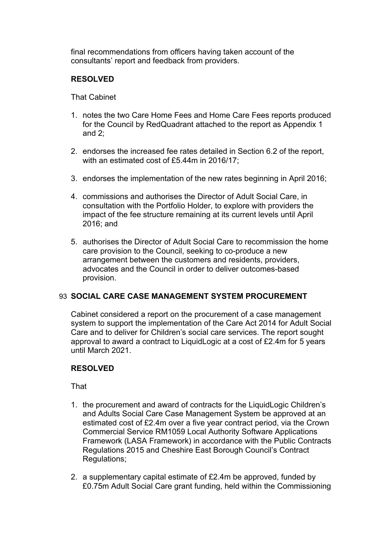final recommendations from officers having taken account of the consultants' report and feedback from providers.

## **RESOLVED**

That Cabinet

- 1. notes the two Care Home Fees and Home Care Fees reports produced for the Council by RedQuadrant attached to the report as Appendix 1 and 2;
- 2. endorses the increased fee rates detailed in Section 6.2 of the report, with an estimated cost of £5.44m in 2016/17;
- 3. endorses the implementation of the new rates beginning in April 2016;
- 4. commissions and authorises the Director of Adult Social Care, in consultation with the Portfolio Holder, to explore with providers the impact of the fee structure remaining at its current levels until April 2016; and
- 5. authorises the Director of Adult Social Care to recommission the home care provision to the Council, seeking to co-produce a new arrangement between the customers and residents, providers, advocates and the Council in order to deliver outcomes-based provision.

## 93 **SOCIAL CARE CASE MANAGEMENT SYSTEM PROCUREMENT**

Cabinet considered a report on the procurement of a case management system to support the implementation of the Care Act 2014 for Adult Social Care and to deliver for Children's social care services. The report sought approval to award a contract to LiquidLogic at a cost of £2.4m for 5 years until March 2021.

#### **RESOLVED**

- 1. the procurement and award of contracts for the LiquidLogic Children's and Adults Social Care Case Management System be approved at an estimated cost of £2.4m over a five year contract period, via the Crown Commercial Service RM1059 Local Authority Software Applications Framework (LASA Framework) in accordance with the Public Contracts Regulations 2015 and Cheshire East Borough Council's Contract Regulations;
- 2. a supplementary capital estimate of £2.4m be approved, funded by £0.75m Adult Social Care grant funding, held within the Commissioning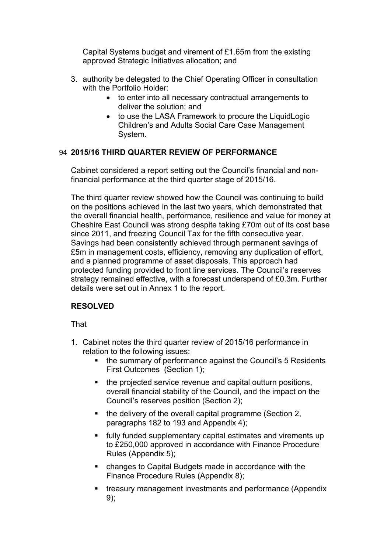Capital Systems budget and virement of £1.65m from the existing approved Strategic Initiatives allocation; and

- 3. authority be delegated to the Chief Operating Officer in consultation with the Portfolio Holder:
	- to enter into all necessary contractual arrangements to deliver the solution; and
	- to use the LASA Framework to procure the LiquidLogic Children's and Adults Social Care Case Management System.

## 94 **2015/16 THIRD QUARTER REVIEW OF PERFORMANCE**

Cabinet considered a report setting out the Council's financial and nonfinancial performance at the third quarter stage of 2015/16.

The third quarter review showed how the Council was continuing to build on the positions achieved in the last two years, which demonstrated that the overall financial health, performance, resilience and value for money at Cheshire East Council was strong despite taking £70m out of its cost base since 2011, and freezing Council Tax for the fifth consecutive year. Savings had been consistently achieved through permanent savings of £5m in management costs, efficiency, removing any duplication of effort, and a planned programme of asset disposals. This approach had protected funding provided to front line services. The Council's reserves strategy remained effective, with a forecast underspend of £0.3m. Further details were set out in Annex 1 to the report.

## **RESOLVED**

- 1. Cabinet notes the third quarter review of 2015/16 performance in relation to the following issues:
	- the summary of performance against the Council's 5 Residents First Outcomes (Section 1);
	- the projected service revenue and capital outturn positions. overall financial stability of the Council, and the impact on the Council's reserves position (Section 2);
	- the delivery of the overall capital programme (Section 2, paragraphs 182 to 193 and Appendix 4);
	- fully funded supplementary capital estimates and virements up to £250,000 approved in accordance with Finance Procedure Rules (Appendix 5);
	- changes to Capital Budgets made in accordance with the Finance Procedure Rules (Appendix 8);
	- **treasury management investments and performance (Appendix** 9);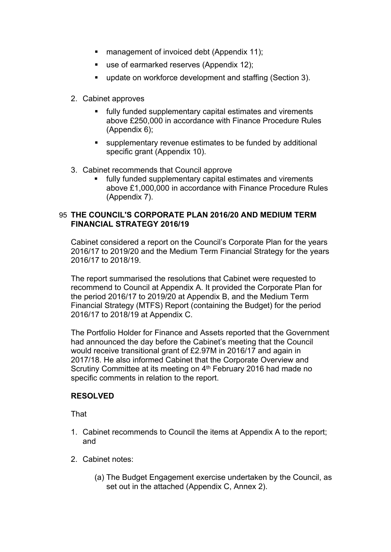- management of invoiced debt (Appendix 11);
- use of earmarked reserves (Appendix 12);
- **update on workforce development and staffing (Section 3).**
- 2. Cabinet approves
	- fully funded supplementary capital estimates and virements above £250,000 in accordance with Finance Procedure Rules (Appendix 6);
	- supplementary revenue estimates to be funded by additional specific grant (Appendix 10).
- 3. Cabinet recommends that Council approve
	- fully funded supplementary capital estimates and virements above £1,000,000 in accordance with Finance Procedure Rules (Appendix 7).

## 95 **THE COUNCIL'S CORPORATE PLAN 2016/20 AND MEDIUM TERM FINANCIAL STRATEGY 2016/19**

Cabinet considered a report on the Council's Corporate Plan for the years 2016/17 to 2019/20 and the Medium Term Financial Strategy for the years 2016/17 to 2018/19.

The report summarised the resolutions that Cabinet were requested to recommend to Council at Appendix A. It provided the Corporate Plan for the period 2016/17 to 2019/20 at Appendix B, and the Medium Term Financial Strategy (MTFS) Report (containing the Budget) for the period 2016/17 to 2018/19 at Appendix C.

The Portfolio Holder for Finance and Assets reported that the Government had announced the day before the Cabinet's meeting that the Council would receive transitional grant of £2.97M in 2016/17 and again in 2017/18. He also informed Cabinet that the Corporate Overview and Scrutiny Committee at its meeting on 4<sup>th</sup> February 2016 had made no specific comments in relation to the report.

## **RESOLVED**

- 1. Cabinet recommends to Council the items at Appendix A to the report; and
- 2. Cabinet notes:
	- (a) The Budget Engagement exercise undertaken by the Council, as set out in the attached (Appendix C, Annex 2).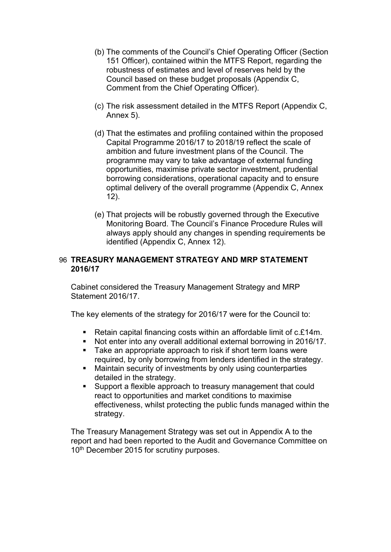- (b) The comments of the Council's Chief Operating Officer (Section 151 Officer), contained within the MTFS Report, regarding the robustness of estimates and level of reserves held by the Council based on these budget proposals (Appendix C, Comment from the Chief Operating Officer).
- (c) The risk assessment detailed in the MTFS Report (Appendix C, Annex 5).
- (d) That the estimates and profiling contained within the proposed Capital Programme 2016/17 to 2018/19 reflect the scale of ambition and future investment plans of the Council. The programme may vary to take advantage of external funding opportunities, maximise private sector investment, prudential borrowing considerations, operational capacity and to ensure optimal delivery of the overall programme (Appendix C, Annex 12).
- (e) That projects will be robustly governed through the Executive Monitoring Board. The Council's Finance Procedure Rules will always apply should any changes in spending requirements be identified (Appendix C, Annex 12).

#### 96 **TREASURY MANAGEMENT STRATEGY AND MRP STATEMENT 2016/17**

Cabinet considered the Treasury Management Strategy and MRP Statement 2016/17.

The key elements of the strategy for 2016/17 were for the Council to:

- Retain capital financing costs within an affordable limit of  $c.f.14m$ .
- Not enter into any overall additional external borrowing in 2016/17.
- Take an appropriate approach to risk if short term loans were required, by only borrowing from lenders identified in the strategy.
- Maintain security of investments by only using counterparties detailed in the strategy.
- Support a flexible approach to treasury management that could react to opportunities and market conditions to maximise effectiveness, whilst protecting the public funds managed within the strategy.

The Treasury Management Strategy was set out in Appendix A to the report and had been reported to the Audit and Governance Committee on 10<sup>th</sup> December 2015 for scrutiny purposes.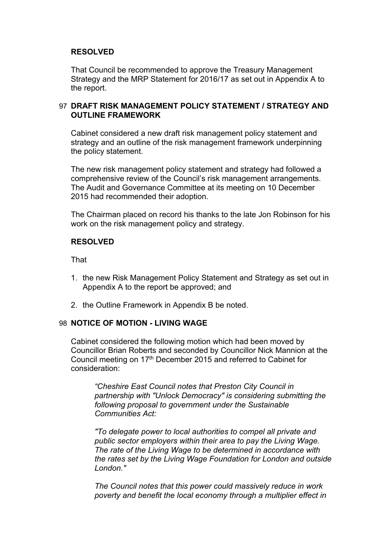#### **RESOLVED**

That Council be recommended to approve the Treasury Management Strategy and the MRP Statement for 2016/17 as set out in Appendix A to the report.

#### 97 **DRAFT RISK MANAGEMENT POLICY STATEMENT / STRATEGY AND OUTLINE FRAMEWORK**

Cabinet considered a new draft risk management policy statement and strategy and an outline of the risk management framework underpinning the policy statement.

The new risk management policy statement and strategy had followed a comprehensive review of the Council's risk management arrangements. The Audit and Governance Committee at its meeting on 10 December 2015 had recommended their adoption.

The Chairman placed on record his thanks to the late Jon Robinson for his work on the risk management policy and strategy.

#### **RESOLVED**

**That** 

- 1. the new Risk Management Policy Statement and Strategy as set out in Appendix A to the report be approved; and
- 2. the Outline Framework in Appendix B be noted.

#### 98 **NOTICE OF MOTION - LIVING WAGE**

Cabinet considered the following motion which had been moved by Councillor Brian Roberts and seconded by Councillor Nick Mannion at the Council meeting on 17<sup>th</sup> December 2015 and referred to Cabinet for consideration:

*"Cheshire East Council notes that Preston City Council in partnership with "Unlock Democracy" is considering submitting the following proposal to government under the Sustainable Communities Act:*

*"To delegate power to local authorities to compel all private and public sector employers within their area to pay the Living Wage. The rate of the Living Wage to be determined in accordance with the rates set by the Living Wage Foundation for London and outside London."*

*The Council notes that this power could massively reduce in work poverty and benefit the local economy through a multiplier effect in*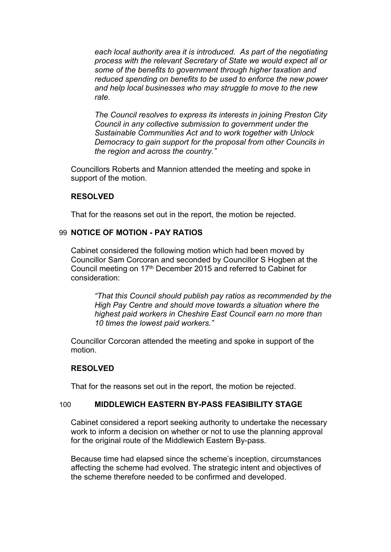*each local authority area it is introduced. As part of the negotiating process with the relevant Secretary of State we would expect all or some of the benefits to government through higher taxation and reduced spending on benefits to be used to enforce the new power and help local businesses who may struggle to move to the new rate.*

*The Council resolves to express its interests in joining Preston City Council in any collective submission to government under the Sustainable Communities Act and to work together with Unlock Democracy to gain support for the proposal from other Councils in the region and across the country."*

Councillors Roberts and Mannion attended the meeting and spoke in support of the motion.

#### **RESOLVED**

That for the reasons set out in the report, the motion be rejected.

#### 99 **NOTICE OF MOTION - PAY RATIOS**

Cabinet considered the following motion which had been moved by Councillor Sam Corcoran and seconded by Councillor S Hogben at the Council meeting on 17th December 2015 and referred to Cabinet for consideration:

*"That this Council should publish pay ratios as recommended by the High Pay Centre and should move towards a situation where the highest paid workers in Cheshire East Council earn no more than 10 times the lowest paid workers."*

Councillor Corcoran attended the meeting and spoke in support of the motion.

#### **RESOLVED**

That for the reasons set out in the report, the motion be rejected.

#### 100 **MIDDLEWICH EASTERN BY-PASS FEASIBILITY STAGE**

Cabinet considered a report seeking authority to undertake the necessary work to inform a decision on whether or not to use the planning approval for the original route of the Middlewich Eastern By-pass.

Because time had elapsed since the scheme's inception, circumstances affecting the scheme had evolved. The strategic intent and objectives of the scheme therefore needed to be confirmed and developed.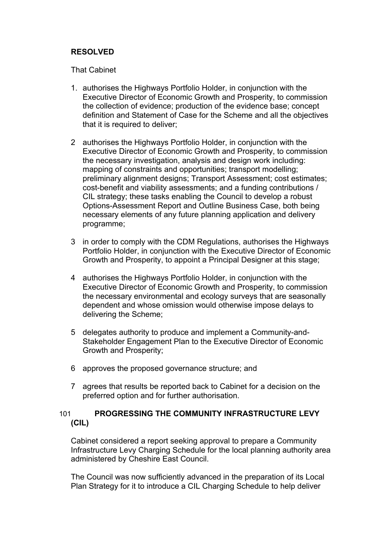#### **RESOLVED**

That Cabinet

- 1. authorises the Highways Portfolio Holder, in conjunction with the Executive Director of Economic Growth and Prosperity, to commission the collection of evidence; production of the evidence base; concept definition and Statement of Case for the Scheme and all the objectives that it is required to deliver;
- 2 authorises the Highways Portfolio Holder, in conjunction with the Executive Director of Economic Growth and Prosperity, to commission the necessary investigation, analysis and design work including: mapping of constraints and opportunities; transport modelling; preliminary alignment designs; Transport Assessment; cost estimates; cost-benefit and viability assessments; and a funding contributions / CIL strategy; these tasks enabling the Council to develop a robust Options-Assessment Report and Outline Business Case, both being necessary elements of any future planning application and delivery programme;
- 3 in order to comply with the CDM Regulations, authorises the Highways Portfolio Holder, in conjunction with the Executive Director of Economic Growth and Prosperity, to appoint a Principal Designer at this stage;
- 4 authorises the Highways Portfolio Holder, in conjunction with the Executive Director of Economic Growth and Prosperity, to commission the necessary environmental and ecology surveys that are seasonally dependent and whose omission would otherwise impose delays to delivering the Scheme;
- 5 delegates authority to produce and implement a Community-and-Stakeholder Engagement Plan to the Executive Director of Economic Growth and Prosperity;
- 6 approves the proposed governance structure; and
- 7 agrees that results be reported back to Cabinet for a decision on the preferred option and for further authorisation.

## 101 **PROGRESSING THE COMMUNITY INFRASTRUCTURE LEVY (CIL)**

Cabinet considered a report seeking approval to prepare a Community Infrastructure Levy Charging Schedule for the local planning authority area administered by Cheshire East Council.

The Council was now sufficiently advanced in the preparation of its Local Plan Strategy for it to introduce a CIL Charging Schedule to help deliver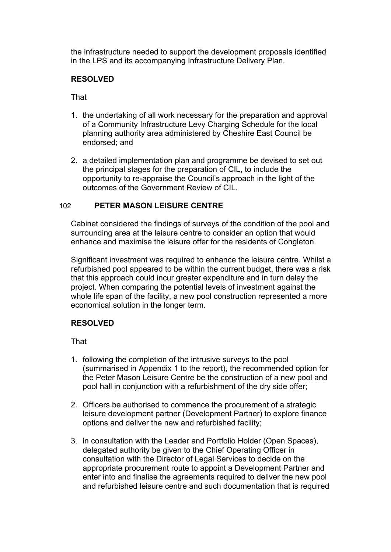the infrastructure needed to support the development proposals identified in the LPS and its accompanying Infrastructure Delivery Plan.

## **RESOLVED**

That

- 1. the undertaking of all work necessary for the preparation and approval of a Community Infrastructure Levy Charging Schedule for the local planning authority area administered by Cheshire East Council be endorsed; and
- 2. a detailed implementation plan and programme be devised to set out the principal stages for the preparation of CIL, to include the opportunity to re-appraise the Council's approach in the light of the outcomes of the Government Review of CIL.

## 102 **PETER MASON LEISURE CENTRE**

Cabinet considered the findings of surveys of the condition of the pool and surrounding area at the leisure centre to consider an option that would enhance and maximise the leisure offer for the residents of Congleton.

Significant investment was required to enhance the leisure centre. Whilst a refurbished pool appeared to be within the current budget, there was a risk that this approach could incur greater expenditure and in turn delay the project. When comparing the potential levels of investment against the whole life span of the facility, a new pool construction represented a more economical solution in the longer term.

#### **RESOLVED**

- 1. following the completion of the intrusive surveys to the pool (summarised in Appendix 1 to the report), the recommended option for the Peter Mason Leisure Centre be the construction of a new pool and pool hall in conjunction with a refurbishment of the dry side offer;
- 2. Officers be authorised to commence the procurement of a strategic leisure development partner (Development Partner) to explore finance options and deliver the new and refurbished facility;
- 3. in consultation with the Leader and Portfolio Holder (Open Spaces), delegated authority be given to the Chief Operating Officer in consultation with the Director of Legal Services to decide on the appropriate procurement route to appoint a Development Partner and enter into and finalise the agreements required to deliver the new pool and refurbished leisure centre and such documentation that is required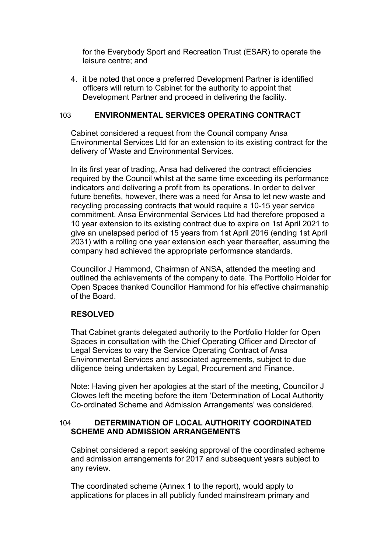for the Everybody Sport and Recreation Trust (ESAR) to operate the leisure centre; and

4. it be noted that once a preferred Development Partner is identified officers will return to Cabinet for the authority to appoint that Development Partner and proceed in delivering the facility.

#### 103 **ENVIRONMENTAL SERVICES OPERATING CONTRACT**

Cabinet considered a request from the Council company Ansa Environmental Services Ltd for an extension to its existing contract for the delivery of Waste and Environmental Services.

In its first year of trading, Ansa had delivered the contract efficiencies required by the Council whilst at the same time exceeding its performance indicators and delivering a profit from its operations. In order to deliver future benefits, however, there was a need for Ansa to let new waste and recycling processing contracts that would require a 10-15 year service commitment. Ansa Environmental Services Ltd had therefore proposed a 10 year extension to its existing contract due to expire on 1st April 2021 to give an unelapsed period of 15 years from 1st April 2016 (ending 1st April 2031) with a rolling one year extension each year thereafter, assuming the company had achieved the appropriate performance standards.

Councillor J Hammond, Chairman of ANSA, attended the meeting and outlined the achievements of the company to date. The Portfolio Holder for Open Spaces thanked Councillor Hammond for his effective chairmanship of the Board.

#### **RESOLVED**

That Cabinet grants delegated authority to the Portfolio Holder for Open Spaces in consultation with the Chief Operating Officer and Director of Legal Services to vary the Service Operating Contract of Ansa Environmental Services and associated agreements, subject to due diligence being undertaken by Legal, Procurement and Finance.

Note: Having given her apologies at the start of the meeting, Councillor J Clowes left the meeting before the item 'Determination of Local Authority Co-ordinated Scheme and Admission Arrangements' was considered.

#### 104 **DETERMINATION OF LOCAL AUTHORITY COORDINATED SCHEME AND ADMISSION ARRANGEMENTS**

Cabinet considered a report seeking approval of the coordinated scheme and admission arrangements for 2017 and subsequent years subject to any review.

The coordinated scheme (Annex 1 to the report), would apply to applications for places in all publicly funded mainstream primary and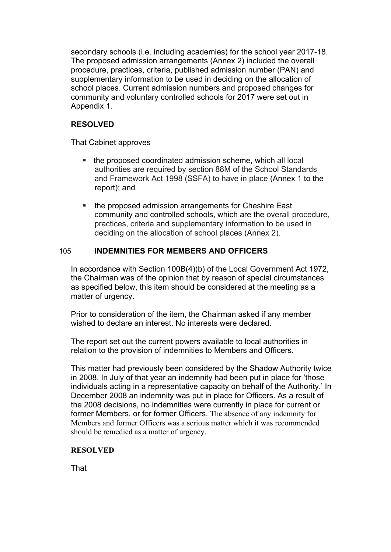secondary schools (i.e. including academies) for the school year 2017-18. The proposed admission arrangements (Annex 2) included the overall procedure, practices, criteria, published admission number (PAN) and supplementary information to be used in deciding on the allocation of school places. Current admission numbers and proposed changes for community and voluntary controlled schools for 2017 were set out in Appendix 1.

## **RESOLVED**

That Cabinet approves

- the proposed coordinated admission scheme, which all local authorities are required by section 88M of the School Standards and Framework Act 1998 (SSFA) to have in place (Annex 1 to the report); and
- the proposed admission arrangements for Cheshire East community and controlled schools, which are the overall procedure, practices, criteria and supplementary information to be used in deciding on the allocation of school places (Annex 2).

## 105 **INDEMNITIES FOR MEMBERS AND OFFICERS**

In accordance with Section 100B(4)(b) of the Local Government Act 1972, the Chairman was of the opinion that by reason of special circumstances as specified below, this item should be considered at the meeting as a matter of urgency.

Prior to consideration of the item, the Chairman asked if any member wished to declare an interest. No interests were declared.

The report set out the current powers available to local authorities in relation to the provision of indemnities to Members and Officers.

This matter had previously been considered by the Shadow Authority twice in 2008. In July of that year an indemnity had been put in place for 'those individuals acting in a representative capacity on behalf of the Authority.' In December 2008 an indemnity was put in place for Officers. As a result of the 2008 decisions, no indemnities were currently in place for current or former Members, or for former Officers. The absence of any indemnity for Members and former Officers was a serious matter which it was recommended should be remedied as a matter of urgency.

#### **RESOLVED**